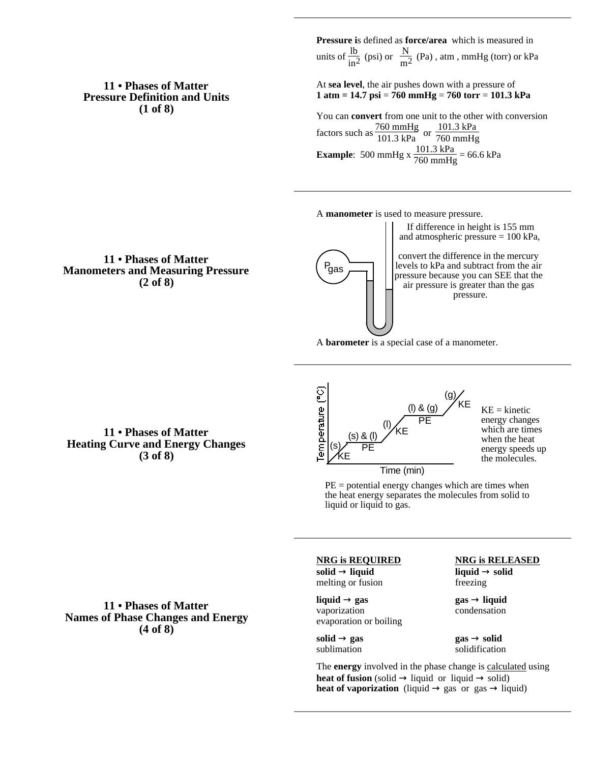## **11 • Phases of Matter Pressure Definition and Units (1 of 8)**

**Pressure i**s defined as **force/area** which is measured in units of  $\frac{lb}{in^2}$  (psi) or  $\frac{N}{m^2}$  (Pa), atm, mmHg (torr) or kPa

At **sea level**, the air pushes down with a pressure of **1 atm = 14.7 psi** = **760 mmHg** = **760 torr** = **101.3 kPa**

You can **convert** from one unit to the other with conversion factors such as  $\frac{760 \text{ mmHg}}{101.3 \text{ kPa}}$  or  $\frac{101.3 \text{ kPa}}{760 \text{ mmHg}}$ 760 mmHg **Example**: 500 mmHg x  $\frac{101.3 \text{ kPa}}{760 \text{ mmHg}}$  = 66.6 kPa

A **manometer** is used to measure pressure.

If difference in height is 155 mm and atmospheric pressure = 100 kPa,

**11 • Phases of Matter Manometers and Measuring Pressure (2 of 8)**



convert the difference in the mercury levels to kPa and subtract from the air pressure because you can SEE that the air pressure is greater than the gas pressure.

A **barometer** is a special case of a manometer.

**11 • Phases of Matter Heating Curve and Energy Changes (3 of 8)**



 $KE = kinetic$ energy changes which are times when the heat energy speeds up the molecules.

Time (min)

 $PE =$  potential energy changes which are times when the heat energy separates the molecules from solid to liquid or liquid to gas.

**11 • Phases of Matter Names of Phase Changes and Energy (4 of 8)**

**NRG is REQUIRED NRG is RELEASED**

**solid liquid liquid solid** melting or fusion freezing

**liquid gas gas liquid** vaporization condensation evaporation or boiling

**solid gas gas solid** sublimation solidification

The **energy** involved in the phase change is calculated using **heat of fusion** (solid liquid or liquid solid) **heat of vaporization** (liquid gas or gas liquid)